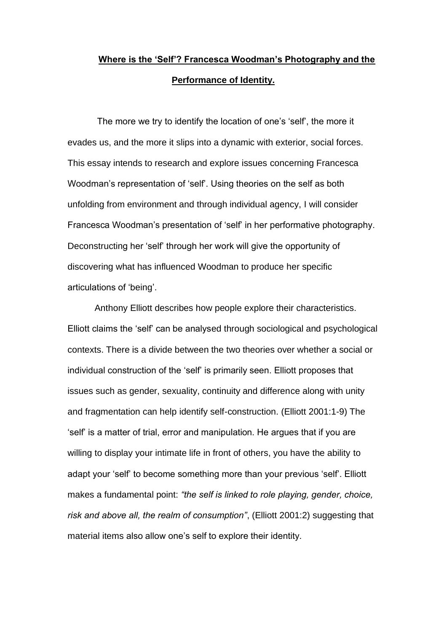# **Where is the 'Self'? Francesca Woodman's Photography and the Performance of Identity.**

The more we try to identify the location of one's 'self', the more it evades us, and the more it slips into a dynamic with exterior, social forces. This essay intends to research and explore issues concerning Francesca Woodman's representation of 'self'. Using theories on the self as both unfolding from environment and through individual agency, I will consider Francesca Woodman's presentation of 'self' in her performative photography. Deconstructing her 'self' through her work will give the opportunity of discovering what has influenced Woodman to produce her specific articulations of 'being'.

Anthony Elliott describes how people explore their characteristics. Elliott claims the 'self' can be analysed through sociological and psychological contexts. There is a divide between the two theories over whether a social or individual construction of the 'self' is primarily seen. Elliott proposes that issues such as gender, sexuality, continuity and difference along with unity and fragmentation can help identify self-construction. (Elliott 2001:1-9) The 'self' is a matter of trial, error and manipulation. He argues that if you are willing to display your intimate life in front of others, you have the ability to adapt your 'self' to become something more than your previous 'self'. Elliott makes a fundamental point: *"the self is linked to role playing, gender, choice, risk and above all, the realm of consumption"*, (Elliott 2001:2) suggesting that material items also allow one's self to explore their identity.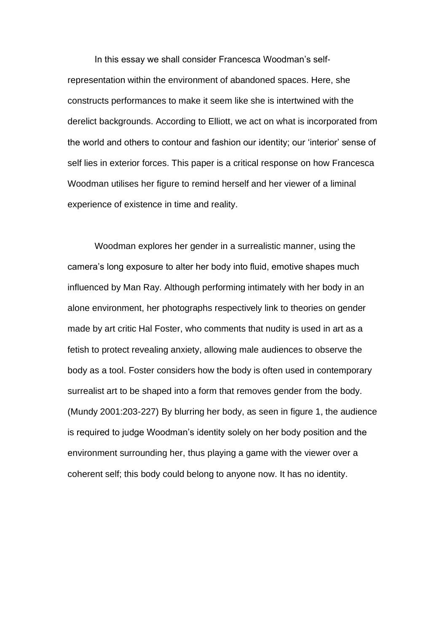In this essay we shall consider Francesca Woodman's selfrepresentation within the environment of abandoned spaces. Here, she constructs performances to make it seem like she is intertwined with the derelict backgrounds. According to Elliott, we act on what is incorporated from the world and others to contour and fashion our identity; our 'interior' sense of self lies in exterior forces. This paper is a critical response on how Francesca Woodman utilises her figure to remind herself and her viewer of a liminal experience of existence in time and reality.

Woodman explores her gender in a surrealistic manner, using the camera's long exposure to alter her body into fluid, emotive shapes much influenced by Man Ray. Although performing intimately with her body in an alone environment, her photographs respectively link to theories on gender made by art critic Hal Foster, who comments that nudity is used in art as a fetish to protect revealing anxiety, allowing male audiences to observe the body as a tool. Foster considers how the body is often used in contemporary surrealist art to be shaped into a form that removes gender from the body. (Mundy 2001:203-227) By blurring her body, as seen in figure 1, the audience is required to judge Woodman's identity solely on her body position and the environment surrounding her, thus playing a game with the viewer over a coherent self; this body could belong to anyone now. It has no identity.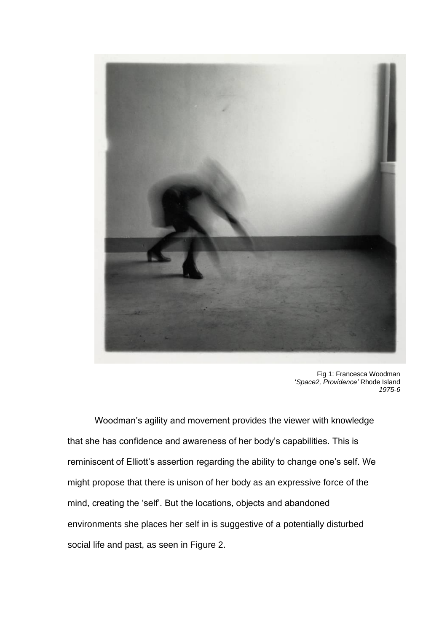

Fig 1: Francesca Woodman '*Space2, Providence'* Rhode Island *1975-6*

Woodman's agility and movement provides the viewer with knowledge that she has confidence and awareness of her body's capabilities. This is reminiscent of Elliott's assertion regarding the ability to change one's self. We might propose that there is unison of her body as an expressive force of the mind, creating the 'self'. But the locations, objects and abandoned environments she places her self in is suggestive of a potentially disturbed social life and past, as seen in Figure 2.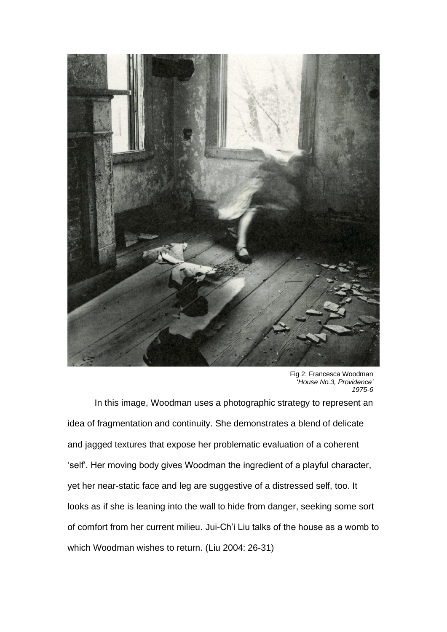

Fig 2: Francesca Woodman '*House No.3, Providence' 1975-6*

In this image, Woodman uses a photographic strategy to represent an idea of fragmentation and continuity. She demonstrates a blend of delicate and jagged textures that expose her problematic evaluation of a coherent 'self'. Her moving body gives Woodman the ingredient of a playful character, yet her near-static face and leg are suggestive of a distressed self, too. It looks as if she is leaning into the wall to hide from danger, seeking some sort of comfort from her current milieu. Jui-Ch'i Liu talks of the house as a womb to which Woodman wishes to return. (Liu 2004: 26-31)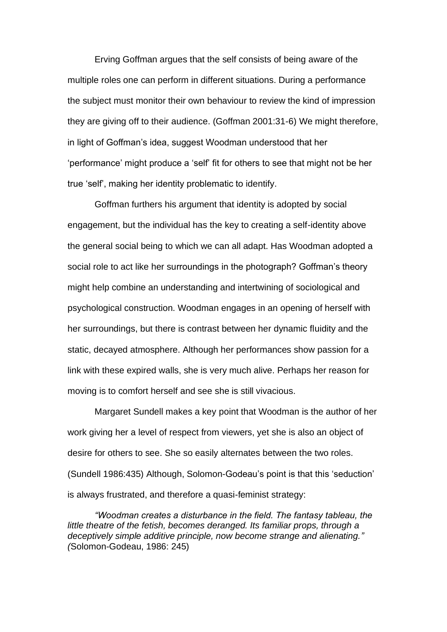Erving Goffman argues that the self consists of being aware of the multiple roles one can perform in different situations. During a performance the subject must monitor their own behaviour to review the kind of impression they are giving off to their audience. (Goffman 2001:31-6) We might therefore, in light of Goffman's idea, suggest Woodman understood that her 'performance' might produce a 'self' fit for others to see that might not be her true 'self', making her identity problematic to identify.

Goffman furthers his argument that identity is adopted by social engagement, but the individual has the key to creating a self-identity above the general social being to which we can all adapt. Has Woodman adopted a social role to act like her surroundings in the photograph? Goffman's theory might help combine an understanding and intertwining of sociological and psychological construction. Woodman engages in an opening of herself with her surroundings, but there is contrast between her dynamic fluidity and the static, decayed atmosphere. Although her performances show passion for a link with these expired walls, she is very much alive. Perhaps her reason for moving is to comfort herself and see she is still vivacious.

Margaret Sundell makes a key point that Woodman is the author of her work giving her a level of respect from viewers, yet she is also an object of desire for others to see. She so easily alternates between the two roles. (Sundell 1986:435) Although, Solomon-Godeau's point is that this 'seduction' is always frustrated, and therefore a quasi-feminist strategy:

*"Woodman creates a disturbance in the field. The fantasy tableau, the little theatre of the fetish, becomes deranged. Its familiar props, through a deceptively simple additive principle, now become strange and alienating." (*Solomon-Godeau, 1986: 245)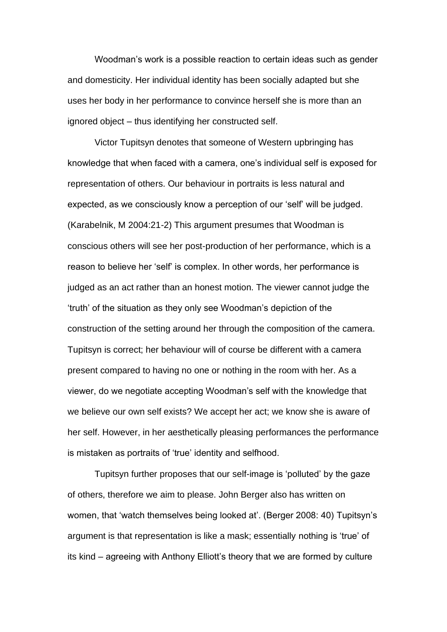Woodman's work is a possible reaction to certain ideas such as gender and domesticity. Her individual identity has been socially adapted but she uses her body in her performance to convince herself she is more than an ignored object – thus identifying her constructed self.

Victor Tupitsyn denotes that someone of Western upbringing has knowledge that when faced with a camera, one's individual self is exposed for representation of others. Our behaviour in portraits is less natural and expected, as we consciously know a perception of our 'self' will be judged. (Karabelnik, M 2004:21-2) This argument presumes that Woodman is conscious others will see her post-production of her performance, which is a reason to believe her 'self' is complex. In other words, her performance is judged as an act rather than an honest motion. The viewer cannot judge the 'truth' of the situation as they only see Woodman's depiction of the construction of the setting around her through the composition of the camera. Tupitsyn is correct; her behaviour will of course be different with a camera present compared to having no one or nothing in the room with her. As a viewer, do we negotiate accepting Woodman's self with the knowledge that we believe our own self exists? We accept her act; we know she is aware of her self. However, in her aesthetically pleasing performances the performance is mistaken as portraits of 'true' identity and selfhood.

Tupitsyn further proposes that our self-image is 'polluted' by the gaze of others, therefore we aim to please. John Berger also has written on women, that 'watch themselves being looked at'. (Berger 2008: 40) Tupitsyn's argument is that representation is like a mask; essentially nothing is 'true' of its kind – agreeing with Anthony Elliott's theory that we are formed by culture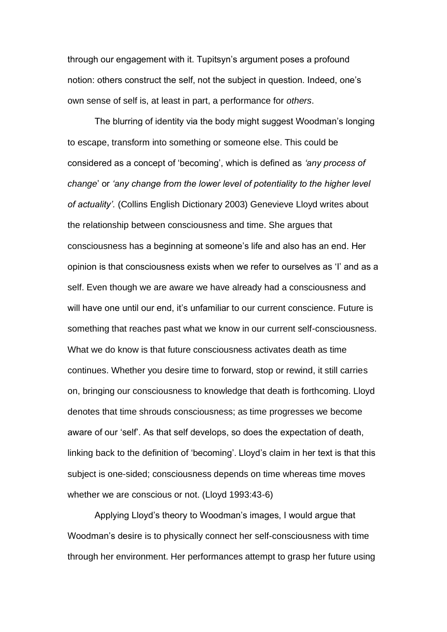through our engagement with it. Tupitsyn's argument poses a profound notion: others construct the self, not the subject in question. Indeed, one's own sense of self is, at least in part, a performance for *others*.

The blurring of identity via the body might suggest Woodman's longing to escape, transform into something or someone else. This could be considered as a concept of 'becoming', which is defined as *'any process of change*' or *'any change from the lower level of potentiality to the higher level of actuality'.* (Collins English Dictionary 2003) Genevieve Lloyd writes about the relationship between consciousness and time. She argues that consciousness has a beginning at someone's life and also has an end. Her opinion is that consciousness exists when we refer to ourselves as 'I' and as a self. Even though we are aware we have already had a consciousness and will have one until our end, it's unfamiliar to our current conscience. Future is something that reaches past what we know in our current self-consciousness. What we do know is that future consciousness activates death as time continues. Whether you desire time to forward, stop or rewind, it still carries on, bringing our consciousness to knowledge that death is forthcoming. Lloyd denotes that time shrouds consciousness; as time progresses we become aware of our 'self'. As that self develops, so does the expectation of death, linking back to the definition of 'becoming'. Lloyd's claim in her text is that this subject is one-sided; consciousness depends on time whereas time moves whether we are conscious or not. (Lloyd 1993:43-6)

Applying Lloyd's theory to Woodman's images, I would argue that Woodman's desire is to physically connect her self-consciousness with time through her environment. Her performances attempt to grasp her future using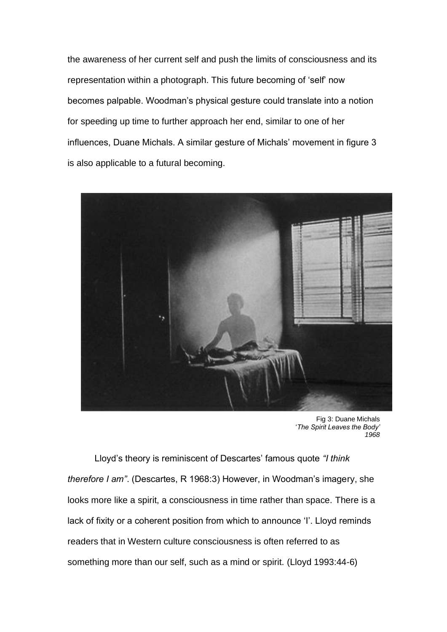the awareness of her current self and push the limits of consciousness and its representation within a photograph. This future becoming of 'self' now becomes palpable. Woodman's physical gesture could translate into a notion for speeding up time to further approach her end, similar to one of her influences, Duane Michals. A similar gesture of Michals' movement in figure 3 is also applicable to a futural becoming.



Fig 3: Duane Michals '*The Spirit Leaves the Body' 1968*

Lloyd's theory is reminiscent of Descartes' famous quote *"I think therefore I am"*. (Descartes, R 1968:3) However, in Woodman's imagery, she looks more like a spirit, a consciousness in time rather than space. There is a lack of fixity or a coherent position from which to announce 'I'. Lloyd reminds readers that in Western culture consciousness is often referred to as something more than our self, such as a mind or spirit. (Lloyd 1993:44-6)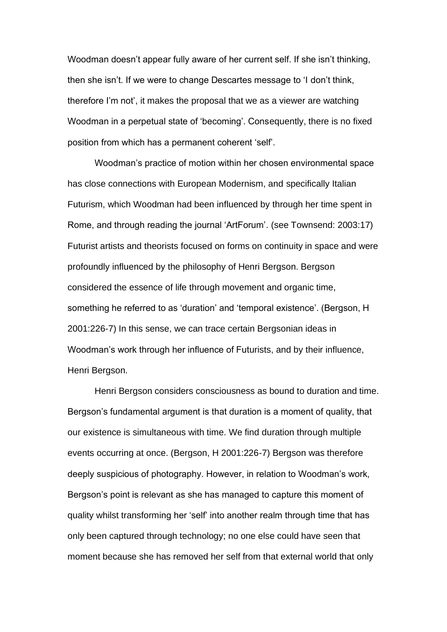Woodman doesn't appear fully aware of her current self. If she isn't thinking, then she isn't. If we were to change Descartes message to 'I don't think, therefore I'm not', it makes the proposal that we as a viewer are watching Woodman in a perpetual state of 'becoming'. Consequently, there is no fixed position from which has a permanent coherent 'self'.

Woodman's practice of motion within her chosen environmental space has close connections with European Modernism, and specifically Italian Futurism, which Woodman had been influenced by through her time spent in Rome, and through reading the journal 'ArtForum'. (see Townsend: 2003:17) Futurist artists and theorists focused on forms on continuity in space and were profoundly influenced by the philosophy of Henri Bergson. Bergson considered the essence of life through movement and organic time, something he referred to as 'duration' and 'temporal existence'. (Bergson, H 2001:226-7) In this sense, we can trace certain Bergsonian ideas in Woodman's work through her influence of Futurists, and by their influence, Henri Bergson.

Henri Bergson considers consciousness as bound to duration and time. Bergson's fundamental argument is that duration is a moment of quality, that our existence is simultaneous with time. We find duration through multiple events occurring at once. (Bergson, H 2001:226-7) Bergson was therefore deeply suspicious of photography. However, in relation to Woodman's work, Bergson's point is relevant as she has managed to capture this moment of quality whilst transforming her 'self' into another realm through time that has only been captured through technology; no one else could have seen that moment because she has removed her self from that external world that only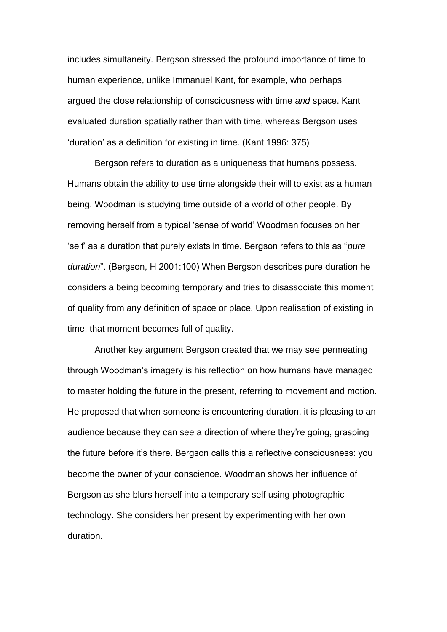includes simultaneity. Bergson stressed the profound importance of time to human experience, unlike Immanuel Kant, for example, who perhaps argued the close relationship of consciousness with time *and* space. Kant evaluated duration spatially rather than with time, whereas Bergson uses 'duration' as a definition for existing in time. (Kant 1996: 375)

Bergson refers to duration as a uniqueness that humans possess. Humans obtain the ability to use time alongside their will to exist as a human being. Woodman is studying time outside of a world of other people. By removing herself from a typical 'sense of world' Woodman focuses on her 'self' as a duration that purely exists in time. Bergson refers to this as "*pure duration*". (Bergson, H 2001:100) When Bergson describes pure duration he considers a being becoming temporary and tries to disassociate this moment of quality from any definition of space or place. Upon realisation of existing in time, that moment becomes full of quality.

Another key argument Bergson created that we may see permeating through Woodman's imagery is his reflection on how humans have managed to master holding the future in the present, referring to movement and motion. He proposed that when someone is encountering duration, it is pleasing to an audience because they can see a direction of where they're going, grasping the future before it's there. Bergson calls this a reflective consciousness: you become the owner of your conscience. Woodman shows her influence of Bergson as she blurs herself into a temporary self using photographic technology. She considers her present by experimenting with her own duration.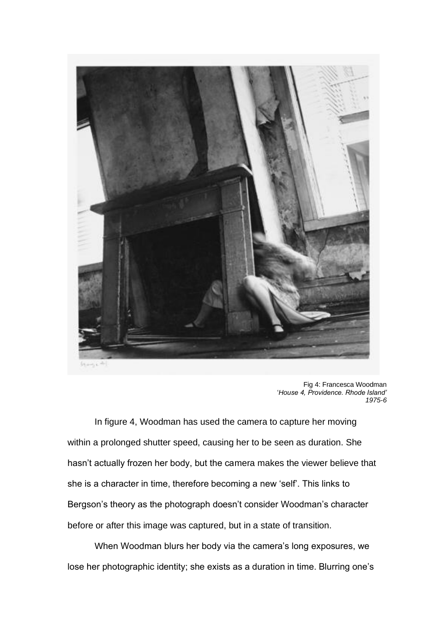

Fig 4: Francesca Woodman '*House 4, Providence. Rhode Island' 1975-6*

In figure 4, Woodman has used the camera to capture her moving within a prolonged shutter speed, causing her to be seen as duration. She hasn't actually frozen her body, but the camera makes the viewer believe that she is a character in time, therefore becoming a new 'self'. This links to Bergson's theory as the photograph doesn't consider Woodman's character before or after this image was captured, but in a state of transition.

When Woodman blurs her body via the camera's long exposures, we lose her photographic identity; she exists as a duration in time. Blurring one's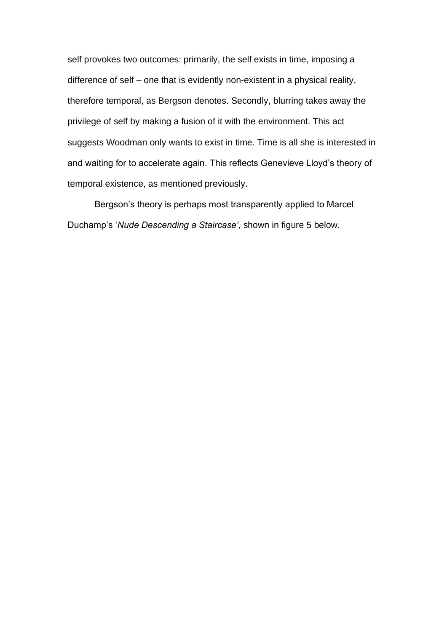self provokes two outcomes: primarily, the self exists in time, imposing a difference of self – one that is evidently non-existent in a physical reality, therefore temporal, as Bergson denotes. Secondly, blurring takes away the privilege of self by making a fusion of it with the environment. This act suggests Woodman only wants to exist in time. Time is all she is interested in and waiting for to accelerate again. This reflects Genevieve Lloyd's theory of temporal existence, as mentioned previously.

Bergson's theory is perhaps most transparently applied to Marcel Duchamp's '*Nude Descending a Staircase'*, shown in figure 5 below.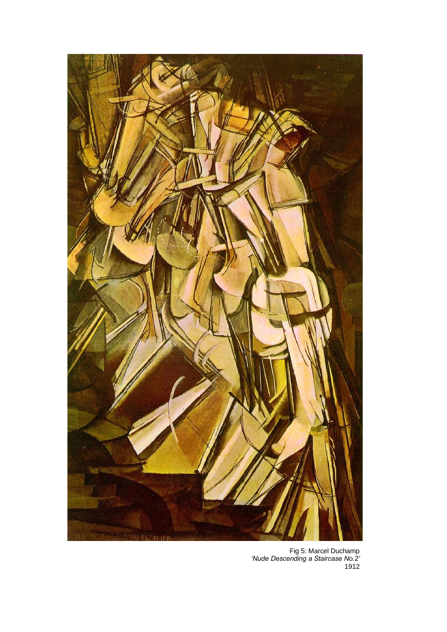

Fig 5: Marcel Duchamp *'Nude Descending a Staircase No.2'* 1912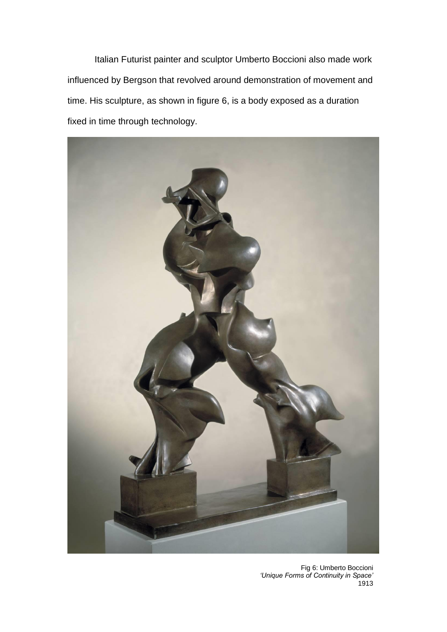Italian Futurist painter and sculptor Umberto Boccioni also made work influenced by Bergson that revolved around demonstration of movement and time. His sculpture, as shown in figure 6, is a body exposed as a duration fixed in time through technology.



Fig 6: Umberto Boccioni *'Unique Forms of Continuity in Space'*  1913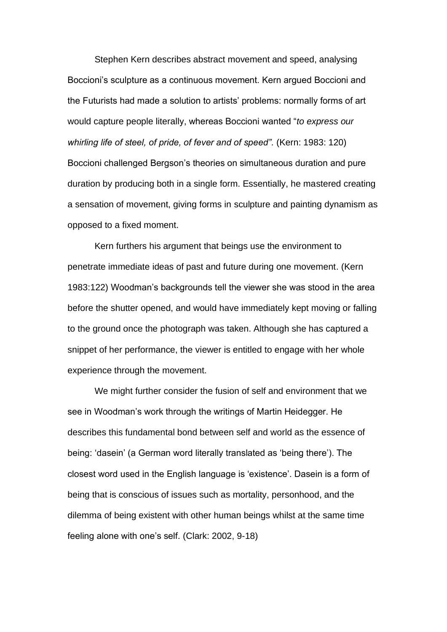Stephen Kern describes abstract movement and speed, analysing Boccioni's sculpture as a continuous movement. Kern argued Boccioni and the Futurists had made a solution to artists' problems: normally forms of art would capture people literally, whereas Boccioni wanted "*to express our whirling life of steel, of pride, of fever and of speed".* (Kern: 1983: 120) Boccioni challenged Bergson's theories on simultaneous duration and pure duration by producing both in a single form. Essentially, he mastered creating a sensation of movement, giving forms in sculpture and painting dynamism as opposed to a fixed moment.

Kern furthers his argument that beings use the environment to penetrate immediate ideas of past and future during one movement. (Kern 1983:122) Woodman's backgrounds tell the viewer she was stood in the area before the shutter opened, and would have immediately kept moving or falling to the ground once the photograph was taken. Although she has captured a snippet of her performance, the viewer is entitled to engage with her whole experience through the movement.

We might further consider the fusion of self and environment that we see in Woodman's work through the writings of Martin Heidegger. He describes this fundamental bond between self and world as the essence of being: 'dasein' (a German word literally translated as 'being there'). The closest word used in the English language is 'existence'. Dasein is a form of being that is conscious of issues such as mortality, personhood, and the dilemma of being existent with other human beings whilst at the same time feeling alone with one's self. (Clark: 2002, 9-18)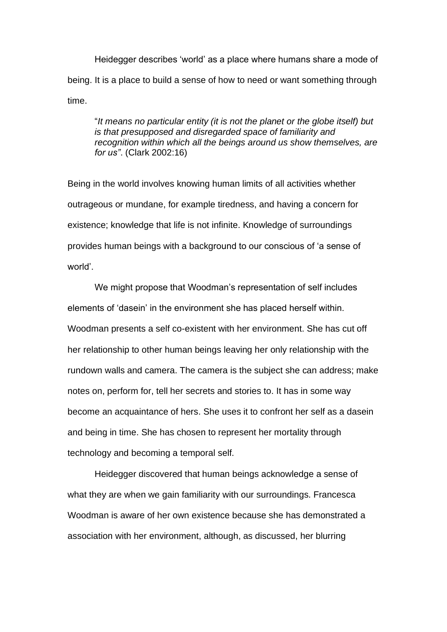Heidegger describes 'world' as a place where humans share a mode of being. It is a place to build a sense of how to need or want something through time.

"*It means no particular entity (it is not the planet or the globe itself) but is that presupposed and disregarded space of familiarity and recognition within which all the beings around us show themselves, are for us"*. (Clark 2002:16)

Being in the world involves knowing human limits of all activities whether outrageous or mundane, for example tiredness, and having a concern for existence; knowledge that life is not infinite. Knowledge of surroundings provides human beings with a background to our conscious of 'a sense of world'.

We might propose that Woodman's representation of self includes elements of 'dasein' in the environment she has placed herself within. Woodman presents a self co-existent with her environment. She has cut off her relationship to other human beings leaving her only relationship with the rundown walls and camera. The camera is the subject she can address; make notes on, perform for, tell her secrets and stories to. It has in some way become an acquaintance of hers. She uses it to confront her self as a dasein and being in time. She has chosen to represent her mortality through technology and becoming a temporal self.

Heidegger discovered that human beings acknowledge a sense of what they are when we gain familiarity with our surroundings. Francesca Woodman is aware of her own existence because she has demonstrated a association with her environment, although, as discussed, her blurring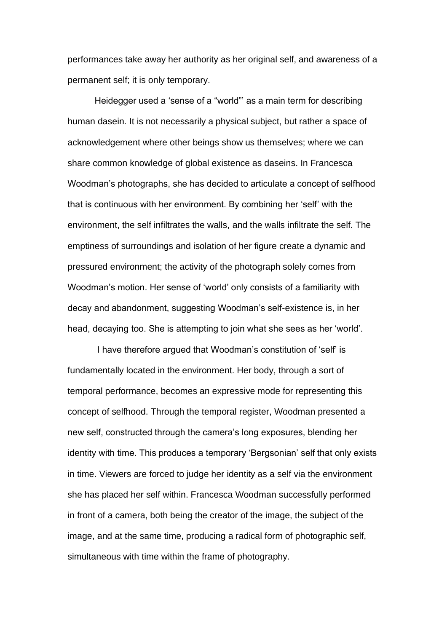performances take away her authority as her original self, and awareness of a permanent self; it is only temporary.

Heidegger used a 'sense of a "world"' as a main term for describing human dasein. It is not necessarily a physical subject, but rather a space of acknowledgement where other beings show us themselves; where we can share common knowledge of global existence as daseins. In Francesca Woodman's photographs, she has decided to articulate a concept of selfhood that is continuous with her environment. By combining her 'self' with the environment, the self infiltrates the walls, and the walls infiltrate the self. The emptiness of surroundings and isolation of her figure create a dynamic and pressured environment; the activity of the photograph solely comes from Woodman's motion. Her sense of 'world' only consists of a familiarity with decay and abandonment, suggesting Woodman's self-existence is, in her head, decaying too. She is attempting to join what she sees as her 'world'.

I have therefore argued that Woodman's constitution of 'self' is fundamentally located in the environment. Her body, through a sort of temporal performance, becomes an expressive mode for representing this concept of selfhood. Through the temporal register, Woodman presented a new self, constructed through the camera's long exposures, blending her identity with time. This produces a temporary 'Bergsonian' self that only exists in time. Viewers are forced to judge her identity as a self via the environment she has placed her self within. Francesca Woodman successfully performed in front of a camera, both being the creator of the image, the subject of the image, and at the same time, producing a radical form of photographic self, simultaneous with time within the frame of photography.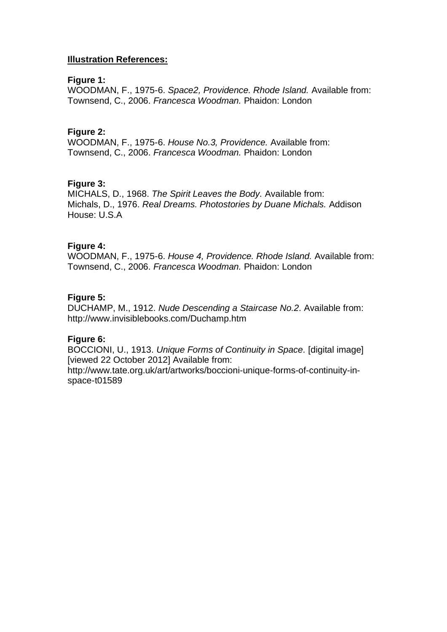## **Illustration References:**

#### **Figure 1:**

WOODMAN, F., 1975-6. *Space2, Providence. Rhode Island.* Available from: Townsend, C., 2006. *Francesca Woodman.* Phaidon: London

## **Figure 2:**

WOODMAN, F., 1975-6. *House No.3, Providence.* Available from: Townsend, C., 2006. *Francesca Woodman.* Phaidon: London

# **Figure 3:**

MICHALS, D., 1968. *The Spirit Leaves the Body.* Available from: Michals, D., 1976. *Real Dreams. Photostories by Duane Michals.* Addison House: U.S.A

## **Figure 4:**

WOODMAN, F., 1975-6. *House 4, Providence. Rhode Island.* Available from: Townsend, C., 2006. *Francesca Woodman.* Phaidon: London

## **Figure 5:**

DUCHAMP, M., 1912. *Nude Descending a Staircase No.2.* Available from: http://www.invisiblebooks.com/Duchamp.htm

# **Figure 6:**

BOCCIONI, U., 1913. *Unique Forms of Continuity in Space.* [digital image] [viewed 22 October 2012] Available from:

http://www.tate.org.uk/art/artworks/boccioni-unique-forms-of-continuity-inspace-t01589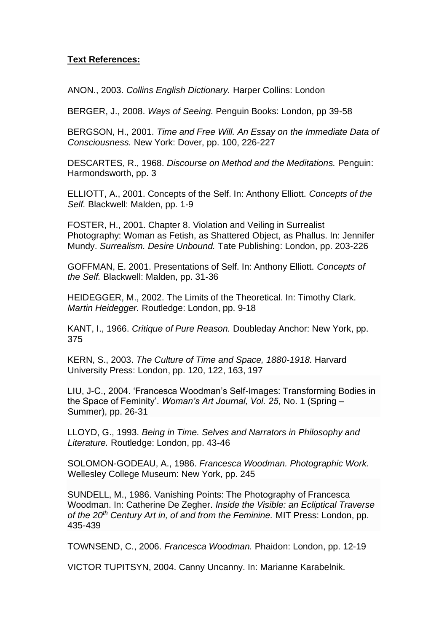# **Text References:**

ANON., 2003. *Collins English Dictionary.* Harper Collins: London

BERGER, J., 2008. *Ways of Seeing.* Penguin Books: London, pp 39-58

BERGSON, H., 2001. *Time and Free Will. An Essay on the Immediate Data of Consciousness.* New York: Dover, pp. 100, 226-227

DESCARTES, R., 1968. *Discourse on Method and the Meditations.* Penguin: Harmondsworth, pp. 3

ELLIOTT, A., 2001. Concepts of the Self. In: Anthony Elliott. *Concepts of the Self.* Blackwell: Malden, pp. 1-9

FOSTER, H., 2001. Chapter 8. Violation and Veiling in Surrealist Photography: Woman as Fetish, as Shattered Object, as Phallus. In: Jennifer Mundy. *Surrealism. Desire Unbound.* Tate Publishing: London, pp. 203-226

GOFFMAN, E. 2001. Presentations of Self. In: Anthony Elliott. *Concepts of the Self.* Blackwell: Malden, pp. 31-36

HEIDEGGER, M., 2002. The Limits of the Theoretical. In: Timothy Clark. *Martin Heidegger.* Routledge: London, pp. 9-18

KANT, I., 1966. *Critique of Pure Reason.* Doubleday Anchor: New York, pp. 375

KERN, S., 2003. *The Culture of Time and Space, 1880-1918.* Harvard University Press: London, pp. 120, 122, 163, 197

LIU, J-C., 2004. 'Francesca Woodman's Self-Images: Transforming Bodies in the Space of Feminity'. *Woman's Art Journal, Vol. 25*, No. 1 (Spring – Summer), pp. 26-31

LLOYD, G., 1993. *Being in Time. Selves and Narrators in Philosophy and [Lit](https://bay002.mail.live.com/mail/)erature.* Routledge: London, pp. 43-46

SOLOMON-GODEAU, A., 1986. *Francesca Woodman. Photographic Work.*  Wellesley College Museum: New York, pp. 245

SUNDELL, M., 1986. Vanishing Points: The Photography of Francesca Woodman. In: Catherine De Zegher. *Inside the Visible: an Ecliptical Traverse of the 20th Century Art in, of and from the Feminine.* MIT Press: London, pp. 435-439

TOWNSEND, C., 2006. *Francesca Woodman.* Phaidon: London, pp. 12-19

VICTOR TUPITSYN, 2004. Canny Uncanny. In: Marianne Karabelnik.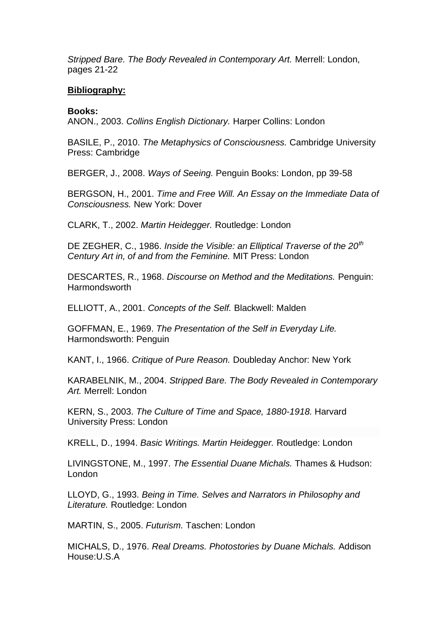*Stripped Bare. The Body Revealed in Contemporary Art.* Merrell: London, pages 21-22

## **Bibliography:**

**Books:**

ANON., 2003. *Collins English Dictionary.* Harper Collins: London

BASILE, P., 2010. *The Metaphysics of Consciousness.* Cambridge University Press: Cambridge

BERGER, J., 2008. *Ways of Seeing.* Penguin Books: London, pp 39-58

BERGSON, H., 2001. *Time and Free Will. An Essay on the Immediate Data of Consciousness.* New York: Dover

CLARK, T., 2002. *Martin Heidegger.* Routledge: London

DE ZEGHER, C., 1986. *Inside the Visible: an Elliptical Traverse of the 20th Century Art in, of and from the Feminine.* MIT Press: London

DESCARTES, R., 1968. *Discourse on Method and the Meditations.* Penguin: Harmondsworth

ELLIOTT, A., 2001. *Concepts of the Self.* Blackwell: Malden

GOFFMAN, E., 1969. *The Presentation of the Self in Everyday Life.* Harmondsworth: Penguin

KANT, I., 1966. *Critique of Pure Reason.* Doubleday Anchor: New York

KARABELNIK, M., 2004. *Stripped Bare. The Body Revealed in Contemporary Art.* Merrell: London

KERN, S., 2003. *The Culture of Time and Space, 1880-1918.* Harvard University Press: London

KRELL, D., 1994. *Basic Writings. Martin Heidegger.* Routledge: London

LIVINGSTONE, M., 1997. *The Essential Duane Michals.* Thames & Hudson: London

LLOYD, G., 1993. *Being in Time. Selves and Narrators in Philosophy and Literature.* Routledge: London

MARTIN, S., 2005. *Futurism.* Taschen: London

MICHALS, D., 1976. *Real Dreams. Photostories by Duane Michals.* Addison House:U.S.A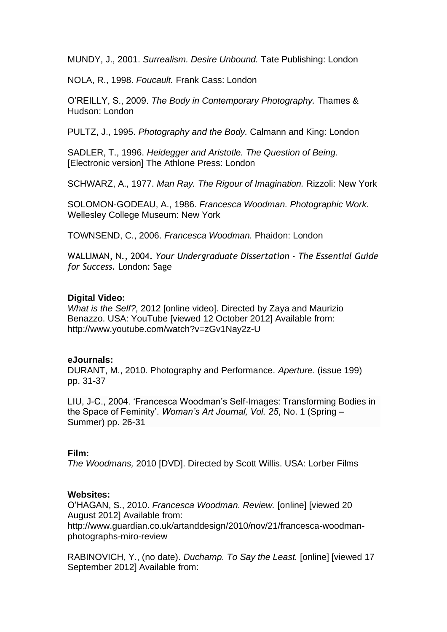MUNDY, J., 2001. *Surrealism. Desire Unbound.* Tate Publishing: London

NOLA, R., 1998. *Foucault.* Frank Cass: London

O'REILLY, S., 2009. *The Body in Contemporary Photography.* Thames & Hudson: London

PULTZ, J., 1995. *Photography and the Body.* Calmann and King: London

SADLER, T., 1996. *Heidegger and Aristotle. The Question of Being.*  [Electronic version] The Athlone Press: London

SCHWARZ, A., 1977. *Man Ray. The Rigour of Imagination.* Rizzoli: New York

SOLOMON-GODEAU, A., 1986. *Francesca Woodman. Photographic Work.*  Wellesley College Museum: New York

TOWNSEND, C., 2006. *Francesca Woodman.* Phaidon: London

WALLIMAN, N., 2004. *Your Undergraduate Dissertation - The Essential Guide for Success.* London: Sage

## **Digital Video:**

*What is the Self?,* 2012 [online video]. Directed by Zaya and Maurizio Benazzo. USA: YouTube [viewed 12 October 2012] Available from: http://www.youtube.com/watch?v=zGv1Nay2z-U

#### **eJournals:**

DURANT, M., 2010. Photography and Performance. *Aperture.* (issue 199) pp. 31-37

LIU, J-C., 2004. 'Francesca Woodman's Self-Images: Transforming Bodies in the Space of Feminity'. *Woman's Art Journal, Vol. 25*, No. 1 (Spring – Summer) pp. 26-31

#### **Film:**

*The Woodmans,* 2010 [DVD]. Directed by Scott Willis. USA: Lorber Films

#### **Websites:**

O'HAGAN, S., 2010. *Francesca Woodman. Review.* [online] [viewed 20 August 2012] Available from: http://www.guardian.co.uk/artanddesign/2010/nov/21/francesca-woodmanphotographs-miro-review

RABINOVICH, Y., (no date). *Duchamp. To Say the Least.* [online] [viewed 17 September 2012] Available from: